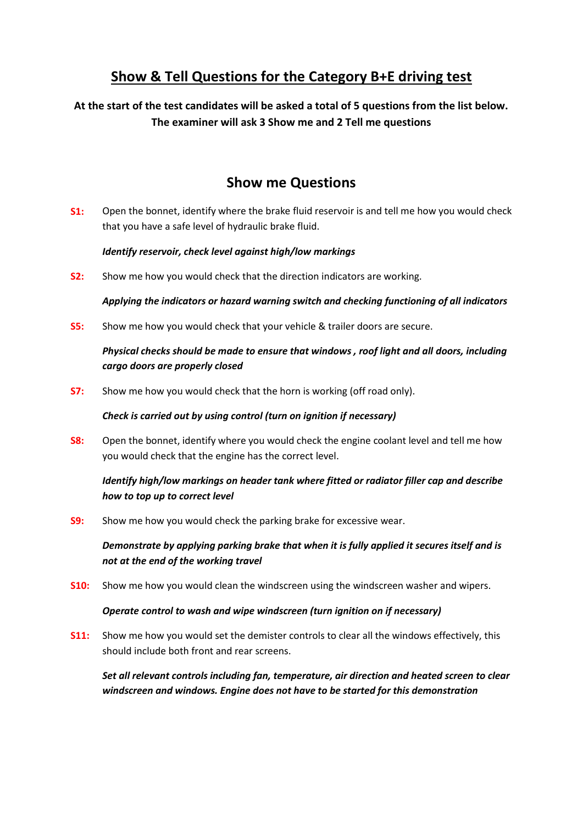## **Show & Tell Questions for the Category B+E driving test**

**At the start of the test candidates will be asked a total of 5 questions from the list below. The examiner will ask 3 Show me and 2 Tell me questions**

## **Show me Questions**

**S1:** Open the bonnet, identify where the brake fluid reservoir is and tell me how you would check that you have a safe level of hydraulic brake fluid.

### *Identify reservoir, check level against high/low markings*

**S2:** Show me how you would check that the direction indicators are working.

*Applying the indicators or hazard warning switch and checking functioning of all indicators*

**S5:** Show me how you would check that your vehicle & trailer doors are secure.

## *Physical checks should be made to ensure that windows , roof light and all doors, including cargo doors are properly closed*

**S7:** Show me how you would check that the horn is working (off road only).

#### *Check is carried out by using control (turn on ignition if necessary)*

**S8:** Open the bonnet, identify where you would check the engine coolant level and tell me how you would check that the engine has the correct level.

## *Identify high/low markings on header tank where fitted or radiator filler cap and describe how to top up to correct level*

**S9:** Show me how you would check the parking brake for excessive wear.

*Demonstrate by applying parking brake that when it is fully applied it secures itself and is not at the end of the working travel*

**S10:** Show me how you would clean the windscreen using the windscreen washer and wipers.

### *Operate control to wash and wipe windscreen (turn ignition on if necessary)*

**S11:** Show me how you would set the demister controls to clear all the windows effectively, this should include both front and rear screens.

*Set all relevant controls including fan, temperature, air direction and heated screen to clear windscreen and windows. Engine does not have to be started for this demonstration*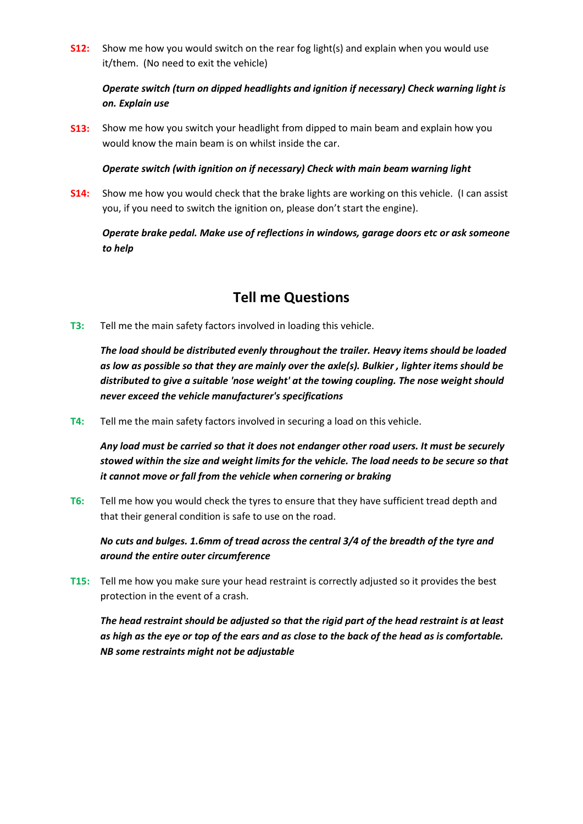**S12:** Show me how you would switch on the rear fog light(s) and explain when you would use it/them. (No need to exit the vehicle)

## *Operate switch (turn on dipped headlights and ignition if necessary) Check warning light is on. Explain use*

**S13:** Show me how you switch your headlight from dipped to main beam and explain how you would know the main beam is on whilst inside the car.

#### *Operate switch (with ignition on if necessary) Check with main beam warning light*

**S14:** Show me how you would check that the brake lights are working on this vehicle. (I can assist you, if you need to switch the ignition on, please don't start the engine).

*Operate brake pedal. Make use of reflections in windows, garage doors etc or ask someone to help*

## **Tell me Questions**

**T3:** Tell me the main safety factors involved in loading this vehicle.

*The load should be distributed evenly throughout the trailer. Heavy items should be loaded as low as possible so that they are mainly over the axle(s). Bulkier , lighter items should be distributed to give a suitable 'nose weight' at the towing coupling. The nose weight should never exceed the vehicle manufacturer's specifications*

**T4:** Tell me the main safety factors involved in securing a load on this vehicle.

*Any load must be carried so that it does not endanger other road users. It must be securely stowed within the size and weight limits for the vehicle. The load needs to be secure so that it cannot move or fall from the vehicle when cornering or braking*

**T6:** Tell me how you would check the tyres to ensure that they have sufficient tread depth and that their general condition is safe to use on the road.

*No cuts and bulges. 1.6mm of tread across the central 3/4 of the breadth of the tyre and around the entire outer circumference*

**T15:** Tell me how you make sure your head restraint is correctly adjusted so it provides the best protection in the event of a crash.

*The head restraint should be adjusted so that the rigid part of the head restraint is at least as high as the eye or top of the ears and as close to the back of the head as is comfortable. NB some restraints might not be adjustable*